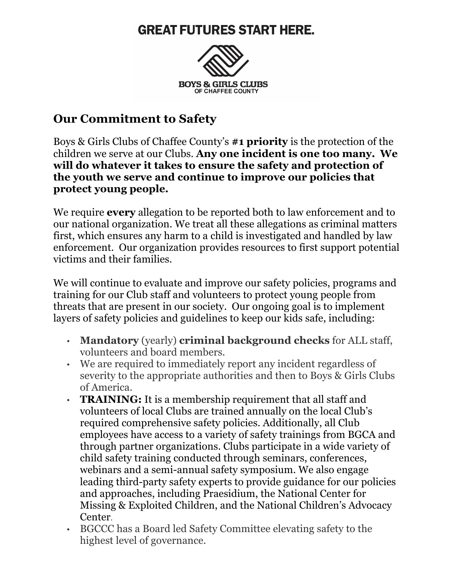## **GREAT FUTURES START HERE.**



## **Our Commitment to Safety**

Boys & Girls Clubs of Chaffee County's **#1 priority** is the protection of the children we serve at our Clubs. **Any one incident is one too many. We will do whatever it takes to ensure the safety and protection of the youth we serve and continue to improve our policies that protect young people.**

We require **every** allegation to be reported both to law enforcement and to our national organization. We treat all these allegations as criminal matters first, which ensures any harm to a child is investigated and handled by law enforcement. Our organization provides resources to first support potential victims and their families.

We will continue to evaluate and improve our safety policies, programs and training for our Club staff and volunteers to protect young people from threats that are present in our society. Our ongoing goal is to implement layers of safety policies and guidelines to keep our kids safe, including:

- **Mandatory** (yearly) **criminal background checks** for ALL staff, volunteers and board members.
- We are required to immediately report any incident regardless of severity to the appropriate authorities and then to Boys & Girls Clubs of America.
- **TRAINING:** It is a membership requirement that all staff and volunteers of local Clubs are trained annually on the local Club's required comprehensive safety policies. Additionally, all Club employees have access to a variety of safety trainings from BGCA and through partner organizations. Clubs participate in a wide variety of child safety training conducted through seminars, conferences, webinars and a semi-annual safety symposium. We also engage leading third-party safety experts to provide guidance for our policies and approaches, including Praesidium, the National Center for Missing & Exploited Children, and the National Children's Advocacy Center.
- BGCCC has a Board led Safety Committee elevating safety to the highest level of governance.